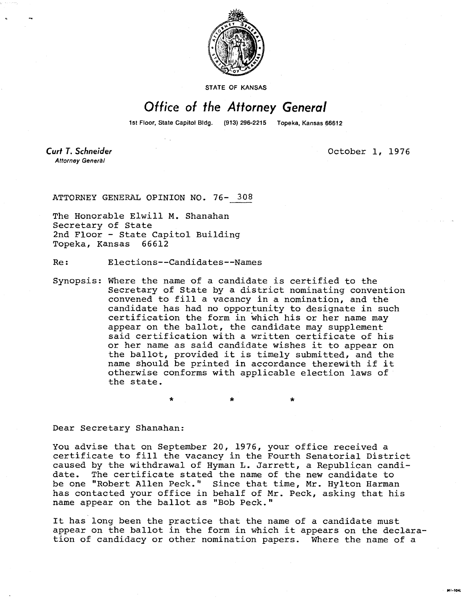

STATE OF KANSAS

## Office of the Attorney General

1st Floor, State Capitol Bldg. (913) 296-2215 Topeka, Kansas 66612

Curt T. Schneider **Attorney General** 

October 1, 1976

MI-104

ATTORNEY GENERAL OPINION NO. 76- 308

The Honorable Elwill M. Shanahan Secretary of State 2nd Floor - State Capitol Building Topeka, Kansas 66612

Re: Elections--Candidates--Names

Synopsis: Where the name of a candidate is certified to the Secretary of State by a district nominating convention convened to fill a vacancy in a nomination, and the candidate has had no opportunity to designate in such certification the form in which his or her name may appear on the ballot, the candidate may supplement said certification with a written certificate of his or her name as said candidate wishes it to appear on the ballot, provided it is timely submitted, and the name should be printed in accordance therewith if it otherwise conforms with applicable election laws of the state.

Dear Secretary Shanahan:

You advise that on September 20, 1976, your office received a certificate to fill the vacancy in the Fourth Senatorial District caused by the withdrawal of Hyman L. Jarrett, a Republican candidate. The certificate stated the name of the new candidate to be one "Robert Allen Peck." Since that time, Mr. Hylton Harman has contacted your office in behalf of Mr. Peck, asking that his name appear on the ballot as "Bob Peck."

It has long been the practice that the name of a candidate must appear on the ballot in the form in which it appears on the declaration of candidacy or other nomination papers. Where the name of a